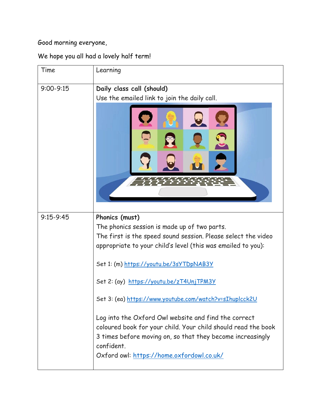Good morning everyone,

We hope you all had a lovely half term!

| Time          | Learning                                                                                                                                                                                                                                                                                                                                                                                                                                                                                                                                                                                            |
|---------------|-----------------------------------------------------------------------------------------------------------------------------------------------------------------------------------------------------------------------------------------------------------------------------------------------------------------------------------------------------------------------------------------------------------------------------------------------------------------------------------------------------------------------------------------------------------------------------------------------------|
| $9:00 - 9:15$ | Daily class call (should)<br>Use the emailed link to join the daily call.                                                                                                                                                                                                                                                                                                                                                                                                                                                                                                                           |
|               |                                                                                                                                                                                                                                                                                                                                                                                                                                                                                                                                                                                                     |
| $9:15-9:45$   | Phonics (must)<br>The phonics session is made up of two parts.<br>The first is the speed sound session. Please select the video<br>appropriate to your child's level (this was emailed to you):<br>Set 1: (m) https://youtu.be/3sYTDpNAB3Y<br>Set 2: (ay) https://youtu.be/zT4UnjTPM3Y<br>Set 3: (ea) https://www.youtube.com/watch?v=sIhuplcck2U<br>Log into the Oxford Owl website and find the correct<br>coloured book for your child. Your child should read the book<br>3 times before moving on, so that they become increasingly<br>confident.<br>Oxford owl: https://home.oxfordowl.co.uk/ |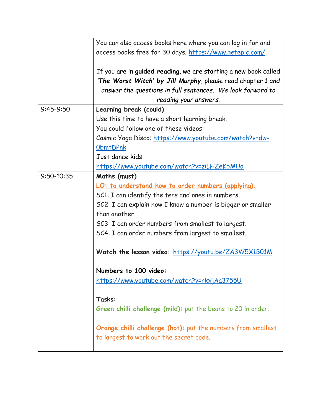|                | You can also access books here where you can log in for and     |
|----------------|-----------------------------------------------------------------|
|                | access books free for 30 days. https://www.getepic.com/         |
|                |                                                                 |
|                | If you are in guided reading, we are starting a new book called |
|                | 'The Worst Witch' by Jill Murphy, please read chapter 1 and     |
|                | answer the questions in full sentences. We look forward to      |
|                | reading your answers.                                           |
| $9:45-9:50$    | Learning break (could)                                          |
|                | Use this time to have a short learning break.                   |
|                | You could follow one of these videos:                           |
|                | Cosmic Yoga Disco: https://www.youtube.com/watch?v=dw-          |
|                | <b>ObmtDPnk</b>                                                 |
|                | Just dance kids:                                                |
|                | https://www.youtube.com/watch?v=ziLHZeKbMUo                     |
| $9:50 - 10:35$ | Maths (must)                                                    |
|                | LO: to understand how to order numbers (applying).              |
|                | SC1: I can identify the tens and ones in numbers.               |
|                | SC2: I can explain how I know a number is bigger or smaller     |
|                | than another.                                                   |
|                | SC3: I can order numbers from smallest to largest.              |
|                | SC4: I can order numbers from largest to smallest.              |
|                |                                                                 |
|                | Watch the lesson video: https://youtu.be/ZA3W5X1B01M            |
|                | Numbers to 100 video:                                           |
|                | https://www.youtube.com/watch?v=rkxjAa3755U                     |
|                |                                                                 |
|                | Tasks:                                                          |
|                | Green chilli challenge (mild): put the beans to 20 in order.    |
|                |                                                                 |
|                | Orange chilli challenge (hot): put the numbers from smallest    |
|                | to largest to work out the secret code.                         |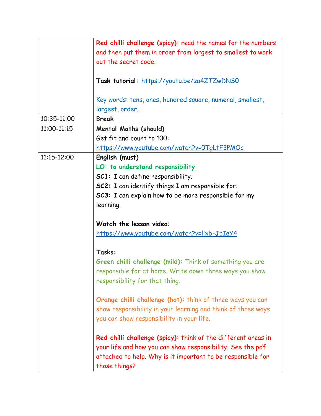|             | Red chilli challenge (spicy): read the names for the numbers  |
|-------------|---------------------------------------------------------------|
|             | and then put them in order from largest to smallest to work   |
|             | out the secret code.                                          |
|             |                                                               |
|             | Task tutorial: https://youtu.be/za4ZTZwDNS0                   |
|             |                                                               |
|             | Key words: tens, ones, hundred square, numeral, smallest,     |
|             | largest, order.                                               |
| 10:35-11:00 | <b>Break</b>                                                  |
| 11:00-11:15 | <b>Mental Maths (should)</b>                                  |
|             | Get fit and count to 100:                                     |
|             | https://www.youtube.com/watch?v=0TgLtF3PMOc                   |
| 11:15-12:00 | English (must)                                                |
|             | LO: to understand responsibility                              |
|             | <b>SC1:</b> I can define responsibility.                      |
|             | <b>SC2:</b> I can identify things I am responsible for.       |
|             | <b>SC3:</b> I can explain how to be more responsible for my   |
|             | learning.                                                     |
|             |                                                               |
|             | Watch the lesson video:                                       |
|             | https://www.youtube.com/watch?v=lixb-JpIeY4                   |
|             |                                                               |
|             | Tasks:                                                        |
|             | Green chilli challenge (mild): Think of something you are     |
|             | responsible for at home. Write down three ways you show       |
|             | responsibility for that thing.                                |
|             |                                                               |
|             | Orange chilli challenge (hot): think of three ways you can    |
|             | show responsibility in your learning and think of three ways  |
|             | you can show responsibility in your life.                     |
|             |                                                               |
|             | Red chilli challenge (spicy): think of the different areas in |
|             | your life and how you can show responsibility. See the pdf    |
|             | attached to help. Why is it important to be responsible for   |
|             | those things?                                                 |
|             |                                                               |